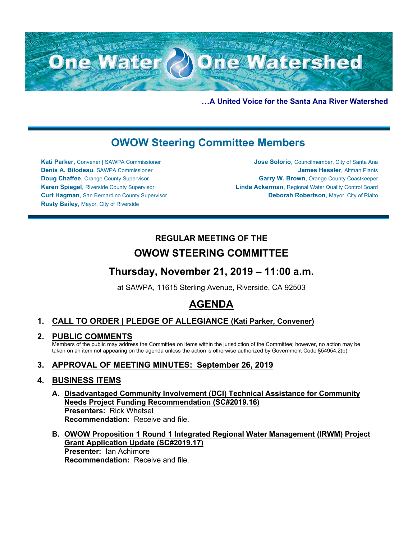

**…A United Voice for the Santa Ana River Watershed**

# **OWOW Steering Committee Members**

**Kati Parker,** Convener | SAWPA Commissioner **Denis A. Bilodeau**, SAWPA Commissioner **Doug Chaffee**, Orange County Supervisor **Karen Spiegel**, Riverside County Supervisor **Curt Hagman**, San Bernardino County Supervisor **Rusty Bailey**, Mayor, City of Riverside

**Jose Solorio**, Councilmember, City of Santa Ana **James Hessler**, Altman Plants **Garry W. Brown**, Orange County Coastkeeper **Linda Ackerman**, Regional Water Quality Control Board **Deborah Robertson**, Mayor, City of Rialto

## **REGULAR MEETING OF THE OWOW STEERING COMMITTEE**

## **Thursday, November 21, 2019 – 11:00 a.m.**

at SAWPA, 11615 Sterling Avenue, Riverside, CA 92503

# **AGENDA**

## **1. CALL TO ORDER | PLEDGE OF ALLEGIANCE (Kati Parker, Convener)**

**2. PUBLIC COMMENTS**

Members of the public may address the Committee on items within the jurisdiction of the Committee; however, no action may be taken on an item not appearing on the agenda unless the action is otherwise authorized by Government Code §54954.2(b).

## **3. APPROVAL OF MEETING MINUTES: September 26, 2019**

### **4. BUSINESS ITEMS**

- **A. Disadvantaged Community Involvement (DCI) Technical Assistance for Community Needs Project Funding Recommendation (SC#2019.16) Presenters:** Rick Whetsel **Recommendation:** Receive and file.
- **B. OWOW Proposition 1 Round 1 Integrated Regional Water Management (IRWM) Project Grant Application Update (SC#2019.17) Presenter:** Ian Achimore **Recommendation:** Receive and file.